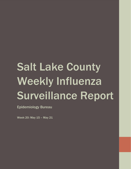## Salt Lake County Weekly Influenza Surveillance Report

Epidemiology Bureau

Week 20: May 15 – May 21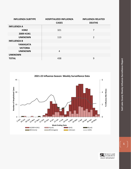| <b>INFLUENZA SUBTYPE</b> | <b>HOSPITALIZED INFLUENZA</b> | <b>INFLUENZA RELATED</b> |  |  |
|--------------------------|-------------------------------|--------------------------|--|--|
|                          | <b>CASES</b>                  | <b>DEATHS</b>            |  |  |
| <b>INFLUENZA A</b>       |                               |                          |  |  |
| <b>H3N2</b>              | 321                           | 7                        |  |  |
| 2009 H1N1                |                               |                          |  |  |
| <b>UNKNOWN</b>           | 113                           | $\overline{2}$           |  |  |
| <b>INFLUENZA B</b>       |                               |                          |  |  |
| <b>YAMAGATA</b>          |                               |                          |  |  |
| <b>VICTORIA</b>          |                               |                          |  |  |
| <b>UNKNOWN</b>           | 4                             |                          |  |  |
| <b>UNKNOWN</b>           |                               |                          |  |  |
| <b>TOTAL</b>             | 438                           | 9                        |  |  |





 $\mathbf{1}^{\top}$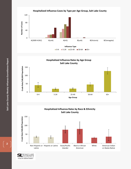

**Hospitalized Influenza Rates by Age Group Salt Lake County**





SALT LAKE<br>COUNTY HEALTH DEPARTMENT

2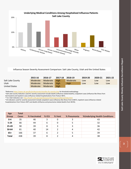

Influenza Season Severity Assessment Comparison: Salt Lake County, Utah and the United States

|                  | 2015-16           | 2016-17           | 2017-18     | 2018-19     | 2019-20 | 2020-21 | 2021-22 |
|------------------|-------------------|-------------------|-------------|-------------|---------|---------|---------|
| Salt Lake County |                   | Moderate Moderate | <b>High</b> | Moderate    | Low     | Low     | Low     |
| Utah             | Moderate Moderate |                   | <b>High</b> | <b>High</b> | Low     | Low     | Low     |
| United States    | Moderate Moderate |                   | High        |             |         |         |         |

\*Referenc[e https://www.cdc.gov/flu/professionals/classifies-flu-severity.htm](https://www.cdc.gov/flu/professionals/classifies-flu-severity.htm) for threshold methodology

\*Salt Lake County indicators used for severity assessment include deaths (influenza-related deaths), outpatient cases (influenza-like illness from Germwatch) and inpatient cases (influenza-related hospitalizations from FluSurv-NET).

\* For Utah indicators see[: http://health.utah.gov/epi/diseases/influenza/surveillance/index.html](http://health.utah.gov/epi/diseases/influenza/surveillance/index.html)

\*US indicators used for severity assessment include outpatient cases (influenza-like illness from ILINET), inpatient cases (influenza-related hospitalizations from FluSurv-NET) and deaths (influenza and pneumonia related deaths from NCHS).

| Age<br><b>Group</b> | <b>Total</b><br><b>Cases</b> | % Vaccinated | $%$ ICU | % Vent | % Pneumonia | %Underlying Health Conditions |
|---------------------|------------------------------|--------------|---------|--------|-------------|-------------------------------|
| $0-4$               | 35                           | 46           | 3       | 0      | 3           | 43                            |
| $5 - 24$            | 66                           | 44           | 6       | 0      | 5           | 32                            |
| 25-49               | 90                           | 39           | 8       | 3      | 3           | 36                            |
| 50-64               | 81                           | 40           | 14      | 2      | 4           | 42                            |
| $65+$               | 166                          | 37           | 6       | 2      | 5           | 39                            |
| <b>Total</b>        | 438                          | 39           | 8       | 2      | 4           | 38                            |



3